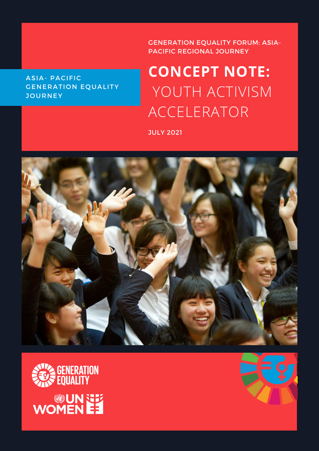# ASIA- PACIFIC GENERATION EQUALITY **JOURNEY**

# GENERATION EQUALITY FORUM: ASIA-PACIFIC REGIONAL JOURNEY

# **CONCEPT NOTE:** YOUTH ACTIVISM ACCELERATOR

JULY 2021





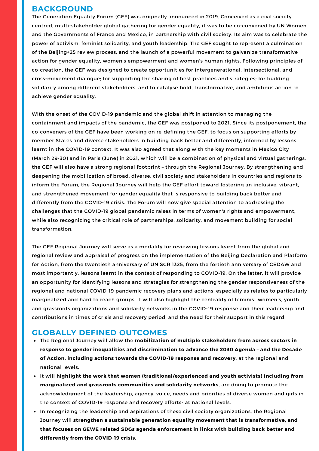## **BACKGROUND**

The Generation Equality Forum (GEF) was originally announced in 2019. Conceived as a civil society centred, multi-stakeholder global gathering for gender equality, it was to be co-convened by UN Women and the Governments of France and Mexico, in partnership with civil society. Its aim was to celebrate the power of activism, feminist solidarity, and youth leadership. The GEF sought to represent a culmination of the Beijing+25 review process, and the launch of a powerful movement to galvanize transformative action for gender equality, women's empowerment and women's human rights. Following principles of co-creation, the GEF was designed to create opportunities for intergenerational, intersectional, and cross-movement dialogue; for supporting the sharing of best practices and strategies; for building solidarity among different stakeholders, and to catalyse bold, transformative, and ambitious action to achieve gender equality.

With the onset of the COVID-19 pandemic and the global shift in attention to managing the containment and impacts of the pandemic, the GEF was postponed to 2021. Since its postponement, the co-conveners of the GEF have been working on re-defining the GEF, to focus on supporting efforts by member States and diverse stakeholders in building back better and differently, informed by lessons learnt in the COVID-19 context. It was also agreed that along with the key moments in Mexico City (March 29-30) and in Paris (June) in 2021, which will be a combination of physical and virtual gatherings, the GEF will also have a strong regional footprint – through the Regional Journey. By strengthening and deepening the mobilization of broad, diverse, civil society and stakeholders in countries and regions to inform the Forum, the Regional Journey will help the GEF effort toward fostering an inclusive, vibrant, and strengthened movement for gender equality that is responsive to building back better and differently from the COVID-19 crisis. The Forum will now give special attention to addressing the challenges that the COVID-19 global pandemic raises in terms of women's rights and empowerment, while also recognizing the critical role of partnerships, solidarity, and movement building for social transformation.

The GEF Regional Journey will serve as a modality for reviewing lessons learnt from the global and regional review and appraisal of progress on the implementation of the Beijing Declaration and Platform for Action, from the twentieth anniversary of UN SCR 1325, from the fortieth anniversary of CEDAW and most importantly, lessons learnt in the context of responding to COVID-19. On the latter, it will provide an opportunity for identifying lessons and strategies for strengthening the gender responsiveness of the regional and national COVID-19 pandemic recovery plans and actions, especially as relates to particularly marginalized and hard to reach groups. It will also highlight the centrality of feminist women's, youth and grassroots organizations and solidarity networks in the COVID-19 response and their leadership and contributions in times of crisis and recovery period, and the need for their support in this regard.

# **GLOBALLY DEFINED OUTCOMES**

- The Regional Journey will allow the **mobilization of multiple stakeholders from across sectors in response to gender inequalities and discrimination to advance the 2030 Agenda – and the Decade of Action, including actions towards the COVID-19 response and recovery**, at the regional and national levels.
- It will **highlight the work that women (traditional/experienced and youth activists) including from marginalized and grassroots communities and solidarity networks**, are doing to promote the acknowledgment of the leadership, agency, voice, needs and priorities of diverse women and girls in the context of COVID-19 response and recovery efforts- at national levels.
- In recognizing the leadership and aspirations of these civil society organizations, the Regional Journey will **strengthen a sustainable generation equality movement that is transformative, and that focuses on GEWE related SDGs agenda enforcement in links with building back better and differently from the COVID-19 crisis.**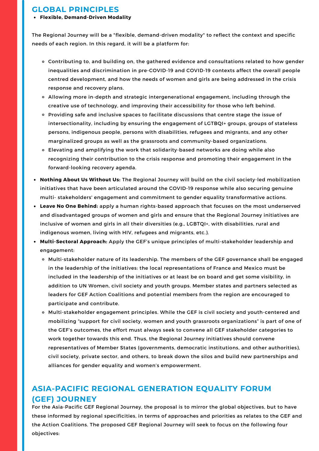## **GLOBAL PRINCIPLES**

#### **Flexible, Demand-Driven Modality**

The Regional Journey will be a "flexible, demand-driven modality" to reflect the context and specific needs of each region. In this regard, it will be a platform for:

- Contributing to, and building on, the gathered evidence and consultations related to how gender inequalities and discrimination in pre-COVID-19 and COVID-19 contexts affect the overall people centred development, and how the needs of women and girls are being addressed in the crisis response and recovery plans.
- Allowing more in-depth and strategic intergenerational engagement, including through the creative use of technology, and improving their accessibility for those who left behind.
- Providing safe and inclusive spaces to facilitate discussions that centre stage the issue of intersectionality, including by ensuring the engagement of LGTBQI+ groups, groups of stateless persons, indigenous people, persons with disabilities, refugees and migrants, and any other marginalized groups as well as the grassroots and community-based organizations.
- Elevating and amplifying the work that solidarity-based networks are doing while also recognizing their contribution to the crisis response and promoting their engagement in the forward-looking recovery agenda.
- **Nothing About Us Without Us:** The Regional Journey will build on the civil society-led mobilization initiatives that have been articulated around the COVID-19 response while also securing genuine multi- stakeholders' engagement and commitment to gender equality transformative actions.
- **Leave No One Behind:** apply a human rights-based approach that focuses on the most underserved and disadvantaged groups of women and girls and ensure that the Regional Journey initiatives are inclusive of women and girls in all their diversities (e.g., LGBTQI+, with disabilities, rural and indigenous women, living with HIV, refugees and migrants, etc.).
- **Multi-Sectoral Approach:** Apply the GEF's unique principles of multi-stakeholder leadership and engagement:
	- o Multi-stakeholder nature of its leadership. The members of the GEF governance shall be engaged in the leadership of the initiatives: the local representations of France and Mexico must be included in the leadership of the initiatives or at least be on board and get some visibility, in addition to UN Women, civil society and youth groups. Member states and partners selected as leaders for GEF Action Coalitions and potential members from the region are encouraged to participate and contribute.
	- o Multi-stakeholder engagement principles. While the GEF is civil society and youth-centered and mobilizing "support for civil society, women and youth grassroots organizations" is part of one of the GEF's outcomes, the effort must always seek to convene all GEF stakeholder categories to work together towards this end. Thus, the Regional Journey initiatives should convene representatives of Member States (governments, democratic institutions, and other authorities), civil society, private sector, and others, to break down the silos and build new partnerships and alliances for gender equality and women's empowerment.

# **ASIA-PACIFIC REGIONAL GENERATION EQUALITY FORUM (GEF) JOURNEY**

For the Asia-Pacific GEF Regional Journey, the proposal is to mirror the global objectives, but to have these informed by regional specificities, in terms of approaches and priorities as relates to the GEF and the Action Coalitions. The proposed GEF Regional Journey will seek to focus on the following four objectives: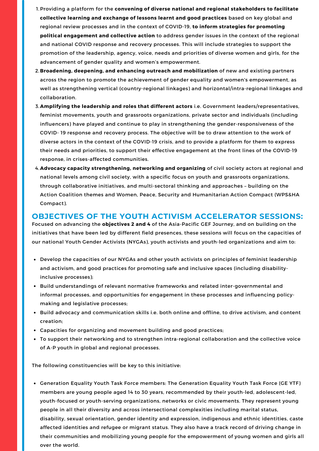- Providing a platform for the **convening of diverse national and regional stakeholders to facilitate** 1. **collective learning and exchange of lessons learnt and good practices** based on key global and regional review processes and in the context of COVID-19, **to inform strategies for promoting political engagement and collective action** to address gender issues in the context of the regional and national COVID response and recovery processes. This will include strategies to support the promotion of the leadership, agency, voice, needs and priorities of diverse women and girls, for the advancement of gender quality and women's empowerment.
- **Broadening, deepening, and enhancing outreach and mobilization** of new and existing partners 2. across the region to promote the achievement of gender equality and women's empowerment, as well as strengthening vertical (country-regional linkages) and horizontal/intra-regional linkages and collaboration.
- **Amplifying the leadership and roles that different actors** i.e. Government leaders/representatives, 3. feminist movements, youth and grassroots organizations, private sector and individuals (including influencers) have played and continue to play in strengthening the gender-responsiveness of the COVID- 19 response and recovery process. The objective will be to draw attention to the work of diverse actors in the context of the COVID-19 crisis, and to provide a platform for them to express their needs and priorities, to support their effective engagement at the front lines of the COVID-19 response, in crises-affected communities.
- **Advocacy capacity strengthening, networking and organizing** of civil society actors at regional and 4. national levels among civil society, with a specific focus on youth and grassroots organizations, through collaborative initiatives, and multi-sectoral thinking and approaches – building on the Action Coalition themes and Women, Peace, Security and Humanitarian Action Compact (WPS&HA Compact).

## **OBJECTIVES OF THE YOUTH ACTIVISM ACCELERATOR SESSIONS:**

Focused on advancing the **objectives 2 and 4** of the Asia-Pacific GEF Journey, and on building on the initiatives that have been led by different field presences, these sessions will focus on the capacities of our national Youth Gender Activists (NYGAs), youth activists and youth-led organizations and aim to:

- Develop the capacities of our NYGAs and other youth activists on principles of feminist leadership and activism, and good practices for promoting safe and inclusive spaces (including disabilityinclusive processes);
- **•** Build understandings of relevant normative frameworks and related inter-governmental and informal processes, and opportunities for engagement in these processes and influencing policymaking and legislative processes;
- **Build advocacy and communication skills i.e. both online and offline, to drive activism, and content** creation;
- Capacities for organizing and movement building and good practices;
- To support their networking and to strengthen intra-regional collaboration and the collective voice of A-P youth in global and regional processes.

The following constituencies will be key to this initiative:

**Generation Equality Youth Task Force members: The Generation Equality Youth Task Force (GE YTF)** members are young people aged 14 to 30 years, recommended by their youth-led, adolescent-led, youth-focused or youth-serving organizations, networks or civic movements. They represent young people in all their diversity and across intersectional complexities including marital status, disability, sexual orientation, gender identity and expression, indigenous and ethnic identities, caste affected identities and refugee or migrant status. They also have a track record of driving change in their communities and mobilizing young people for the empowerment of young women and girls all over the world.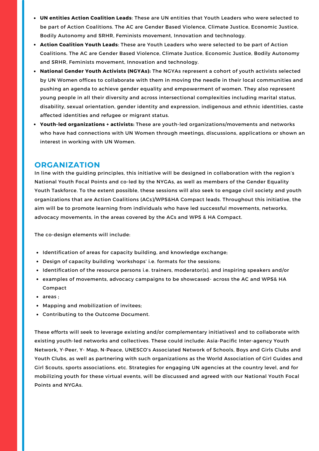- **UN entities Action Coalition Leads**: These are UN entities that Youth Leaders who were selected to be part of Action Coalitions. The AC are Gender Based Violence, Climate Justice, Economic Justice, Bodily Autonomy and SRHR, Feminists movement, Innovation and technology.
- **Action Coalition Youth Leads**: These are Youth Leaders who were selected to be part of Action Coalitions. The AC are Gender Based Violence, Climate Justice, Economic Justice, Bodily Autonomy and SRHR, Feminists movement, Innovation and technology.
- **National Gender Youth Activists (NGYAs):** The NGYAs represent a cohort of youth activists selected by UN Women offices to collaborate with them in moving the needle in their local communities and pushing an agenda to achieve gender equality and empowerment of women. They also represent young people in all their diversity and across intersectional complexities including marital status, disability, sexual orientation, gender identity and expression, indigenous and ethnic identities, caste affected identities and refugee or migrant status.
- **Youth-led organizations + activists:** These are youth-led organizations/movements and networks who have had connections with UN Women through meetings, discussions, applications or shown an interest in working with UN Women.

## **ORGANIZATION**

In line with the guiding principles, this initiative will be designed in collaboration with the region's National Youth Focal Points and co-led by the NYGAs, as well as members of the Gender Equality Youth Taskforce. To the extent possible, these sessions will also seek to engage civil society and youth organizations that are Action Coalitions (ACs)/WPS&HA Compact leads. Throughout this initiative, the aim will be to promote learning from individuals who have led successful movements, networks, advocacy movements, in the areas covered by the ACs and WPS & HA Compact.

The co-design elements will include:

- Identification of areas for capacity building, and knowledge exchange;
- Design of capacity building 'workshops' i.e. formats for the sessions;
- Identification of the resource persons i.e. trainers, moderator(s), and inspiring speakers and/or
- examples of movements, advocacy campaigns to be showcased- across the AC and WPS& HA Compact
- areas :
- Mapping and mobilization of invitees;
- Contributing to the Outcome Document.

These efforts will seek to leverage existing and/or complementary initiatives1 and to collaborate with existing youth-led networks and collectives. These could include: Asia-Pacific Inter-agency Youth Network, Y-Peer, Y- Map, N-Peace, UNESCO's Associated Network of Schools, Boys and Girls Clubs and Youth Clubs, as well as partnering with such organizations as the World Association of Girl Guides and Girl Scouts, sports associations. etc. Strategies for engaging UN agencies at the country level, and for mobilizing youth for these virtual events, will be discussed and agreed with our National Youth Focal Points and NYGAs.